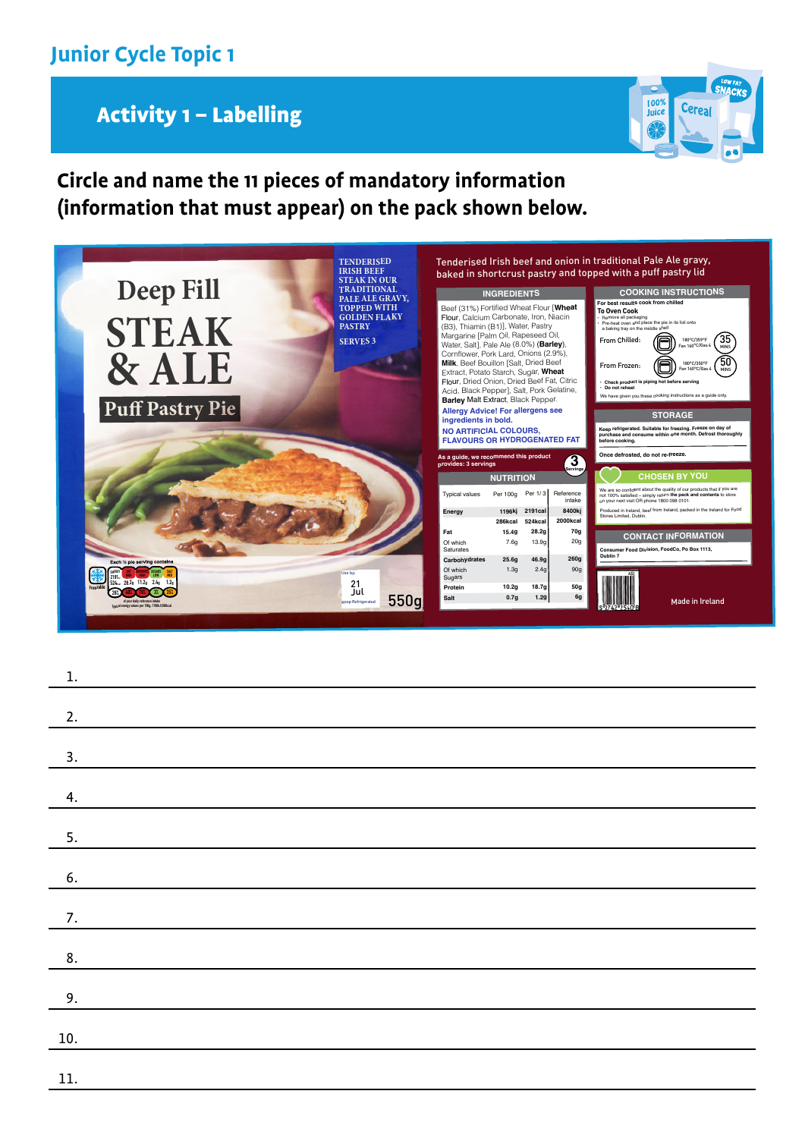## Activity 1 – Labelling



### **Circle and name the 11 pieces of mandatory information (information that must appear) on the pack shown below.**



| $1. \,$       |  |
|---------------|--|
|               |  |
| 2.            |  |
|               |  |
| 3.            |  |
| 4.            |  |
|               |  |
| 5.            |  |
|               |  |
| 6.            |  |
|               |  |
| 7.            |  |
| $\frac{8}{5}$ |  |
|               |  |
| 9.            |  |
|               |  |
| 10.           |  |
|               |  |
| 11.           |  |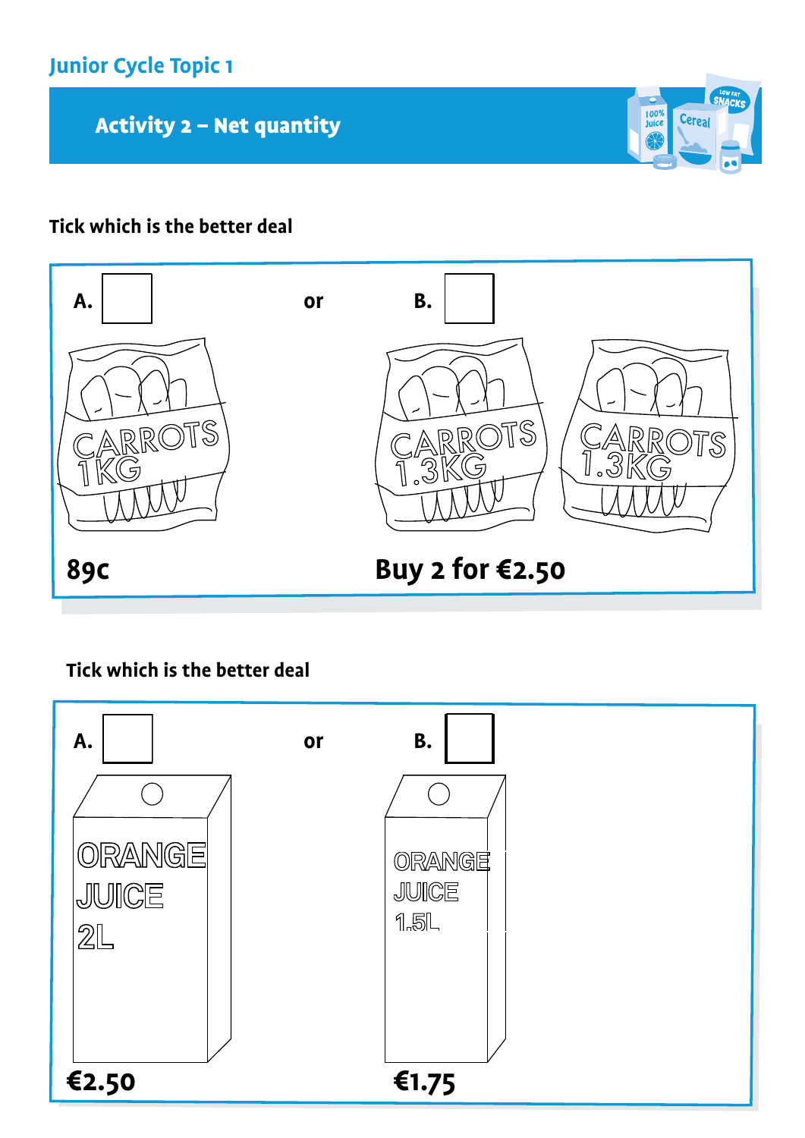Activity 2 - Net quantity

#### **Tick which is the better deal**



 $\frac{100\%}{\text{Juice}}$ 

Cereal

**Tick which is the better deal**

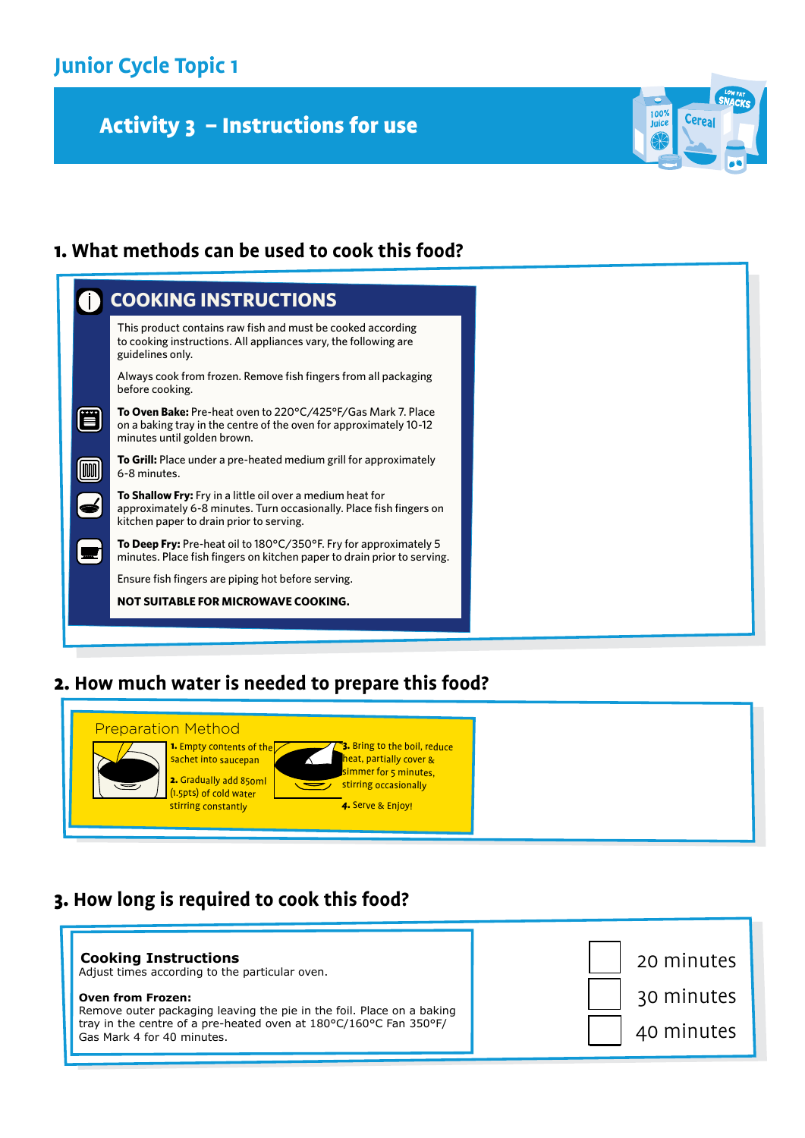# Activity 3 - Instructions for use



#### 1. **What methods can be used to cook this food?**

#### 2. **How much water is needed to prepare this food?**



#### 3. **How long is required to cook this food?**

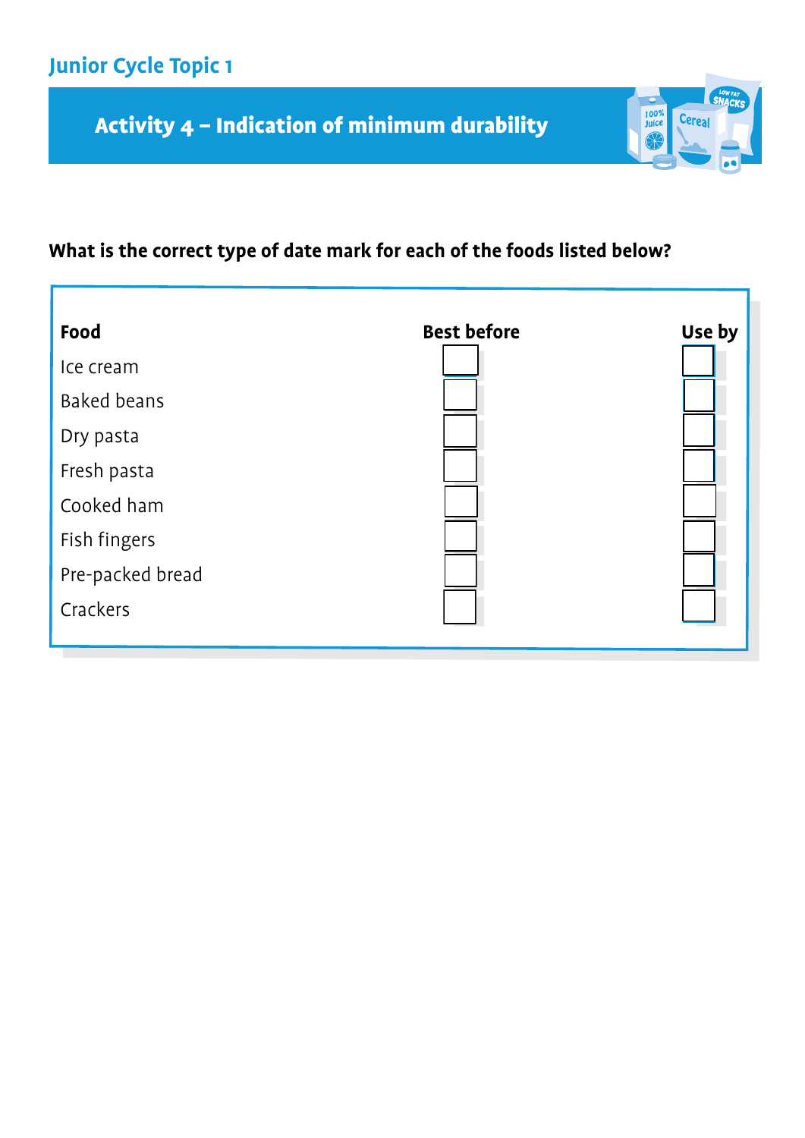# Activity 4 – Indication of minimum durability

# **What is the correct type of date mark for each of the foods listed below?**

 $\frac{100\%}{\text{Juice}}$ 

Cereal

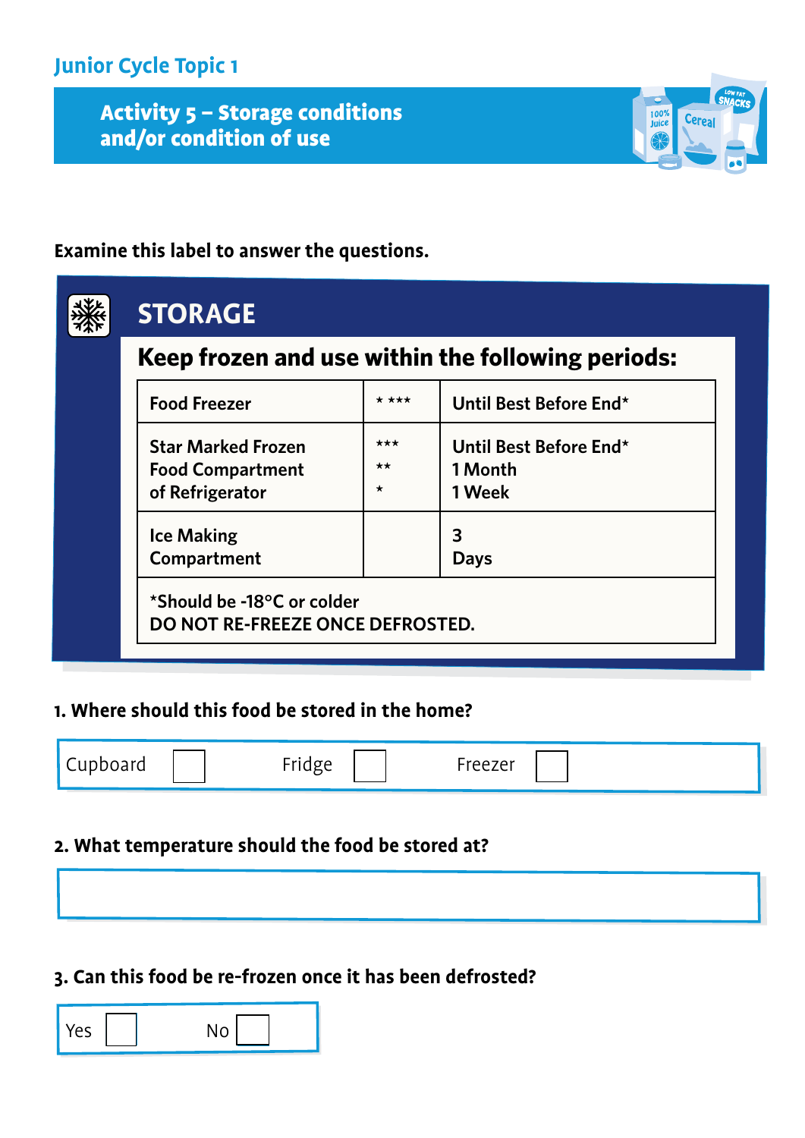ALLIVILY; Activity 5 – Storage conditions and/or condition of use

#### **Examine this label to answer the questions.**



100%<br>Juice

#### **1. Where should this food be stored in the home?**

| Cupboard | ridge<br>$\cdots$ usse | -reezer |  |
|----------|------------------------|---------|--|
|          |                        |         |  |

#### **2. What temperature should the food be stored at?**

#### **3. Can this food be re-frozen once it has been defrosted?**

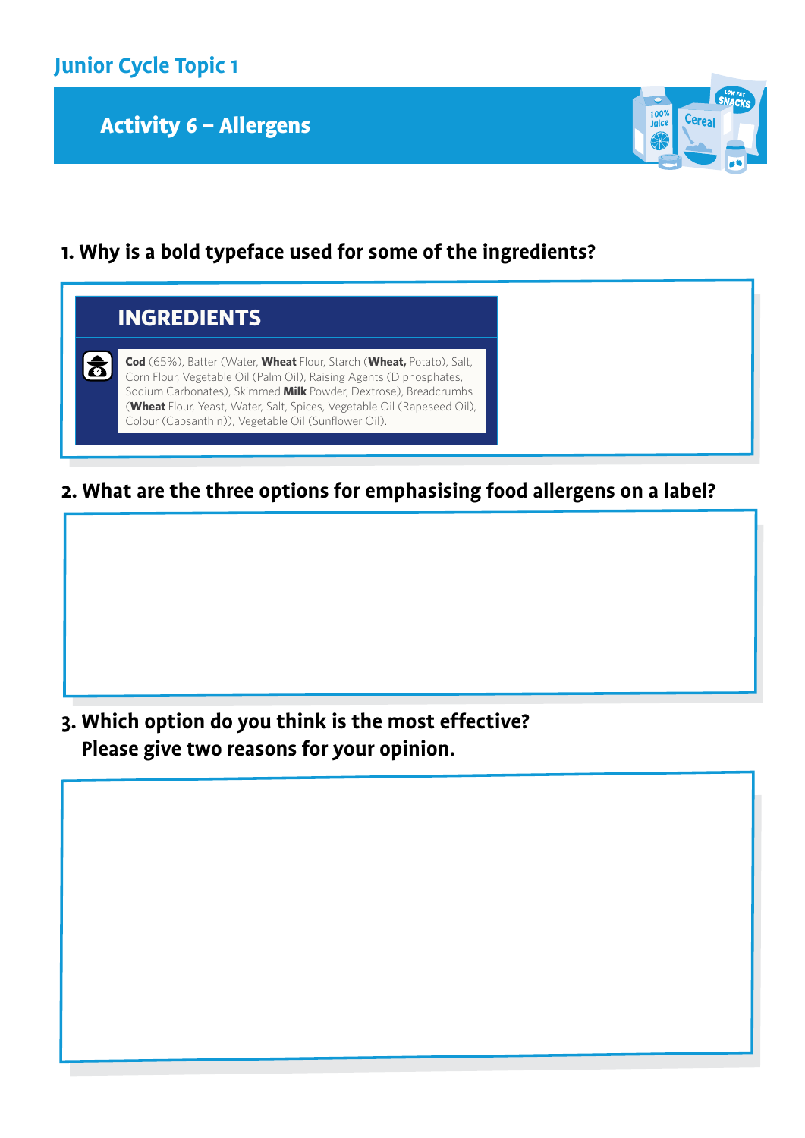

### Activity 6 - Allergens



**1. Why is a bold typeface used for some of the ingredients?** 



**2. What are the three options for emphasising food allergens on a label?**

**3. Which option do you think is the most effective? Please give two reasons for your opinion.**